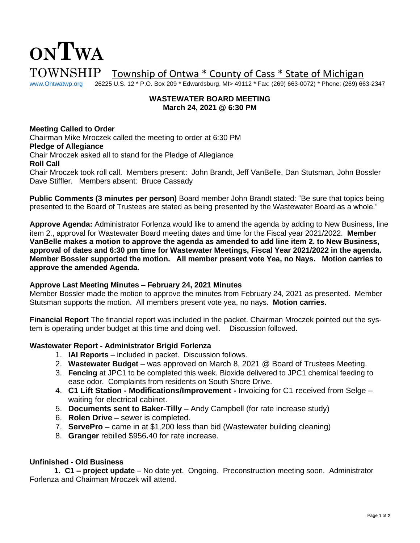# **ONTWA**  $\text{TOWNSHIP}$  Township of Ontwa \* County of Cass \* State of Michigan www.Ontwatwp.org 26225 U.S. 12 \* P.O. Box 209 \* Edwardsburg, MI> 49112 \* Fax: (269) 663-0072) \* Phone: (269) 66 26225 U.S. 12 \* P.O. Box 209 \* Edwardsburg, MI> 49112 \* Fax: (269) 663-0072) \* Phone: (269) 663-2347

#### **WASTEWATER BOARD MEETING March 24, 2021 @ 6:30 PM**

# **Meeting Called to Order**

Chairman Mike Mroczek called the meeting to order at 6:30 PM **Pledge of Allegiance** Chair Mroczek asked all to stand for the Pledge of Allegiance **Roll Call** Chair Mroczek took roll call. Members present: John Brandt, Jeff VanBelle, Dan Stutsman, John Bossler Dave Stiffler. Members absent: Bruce Cassady

**Public Comments (3 minutes per person)** Board member John Brandt stated: "Be sure that topics being presented to the Board of Trustees are stated as being presented by the Wastewater Board as a whole."

**Approve Agenda:** Administrator Forlenza would like to amend the agenda by adding to New Business, line item 2., approval for Wastewater Board meeting dates and time for the Fiscal year 2021/2022. **Member VanBelle makes a motion to approve the agenda as amended to add line item 2. to New Business, approval of dates and 6:30 pm time for Wastewater Meetings, Fiscal Year 2021/2022 in the agenda. Member Bossler supported the motion. All member present vote Yea, no Nays. Motion carries to approve the amended Agenda**.

# **Approve Last Meeting Minutes – February 24, 2021 Minutes**

Member Bossler made the motion to approve the minutes from February 24, 2021 as presented. Member Stutsman supports the motion. All members present vote yea, no nays. **Motion carries.** 

**Financial Report** The financial report was included in the packet. Chairman Mroczek pointed out the system is operating under budget at this time and doing well. Discussion followed.

#### **Wastewater Report - Administrator Brigid Forlenza**

- 1. **IAI Reports** included in packet. Discussion follows.
- 2. **Wastewater Budget** was approved on March 8, 2021 @ Board of Trustees Meeting.
- 3. **Fencing** at JPC1 to be completed this week. Bioxide delivered to JPC1 chemical feeding to ease odor. Complaints from residents on South Shore Drive.
- 4. **C1 Lift Station - Modifications/Improvement -** Invoicing for C1 **r**eceived from Selge waiting for electrical cabinet.
- 5. **Documents sent to Baker-Tilly –** Andy Campbell (for rate increase study)
- 6. **Rolen Drive –** sewer is completed.
- 7. **ServePro –** came in at \$1,200 less than bid (Wastewater building cleaning)
- 8. **Granger** rebilled \$956**.**40 for rate increase.

# **Unfinished - Old Business**

**1. C1 – project update** – No date yet. Ongoing. Preconstruction meeting soon. Administrator Forlenza and Chairman Mroczek will attend.